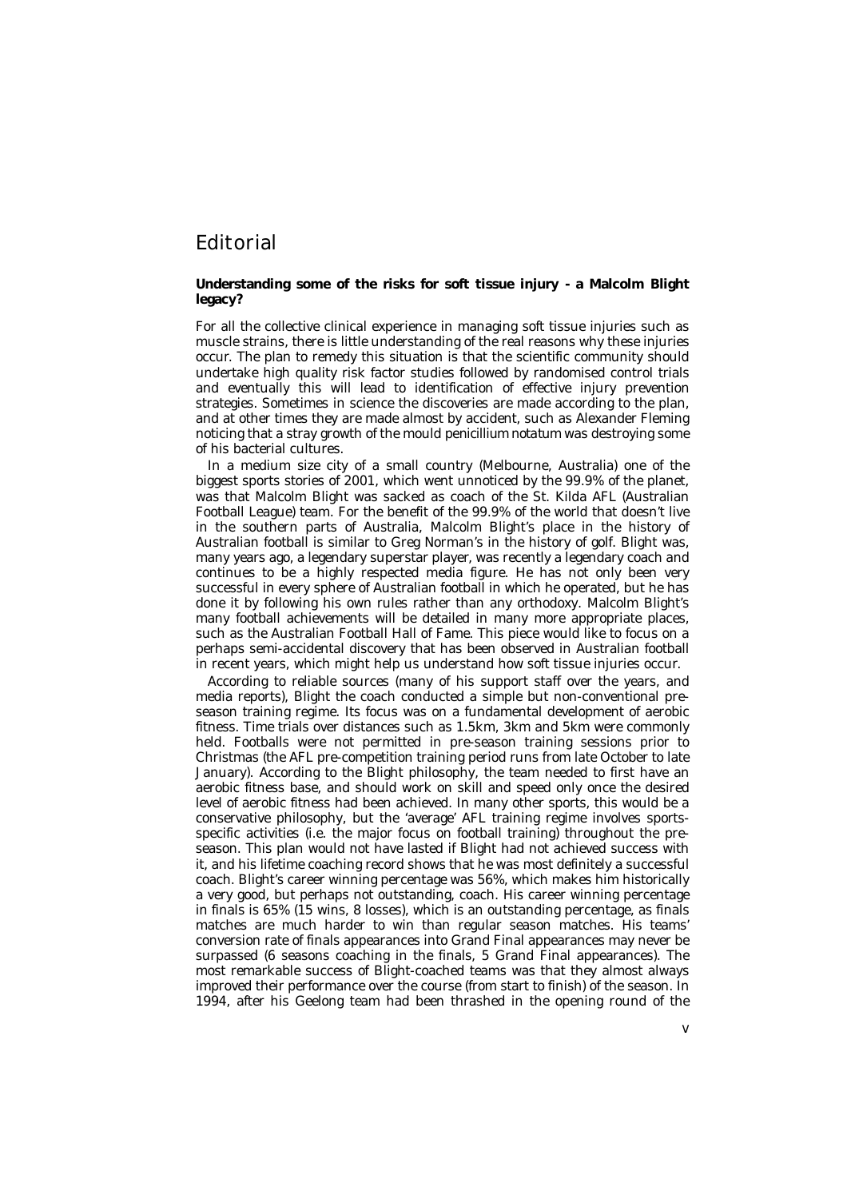## Editorial

## **Understanding some of the risks for soft tissue injury - a Malcolm Blight legacy?**

For all the collective clinical experience in managing soft tissue injuries such as muscle strains, there is little understanding of the real reasons why these injuries occur. The plan to remedy this situation is that the scientific community should undertake high quality risk factor studies followed by randomised control trials and eventually this will lead to identification of effective injury prevention strategies. Sometimes in science the discoveries are made according to the plan, and at other times they are made almost by accident, such as Alexander Fleming noticing that a stray growth of the mould *penicillium notatum* was destroying some of his bacterial cultures.

In a medium size city of a small country (Melbourne, Australia) one of the biggest sports stories of 2001, which went unnoticed by the 99.9% of the planet, was that Malcolm Blight was sacked as coach of the St. Kilda AFL (Australian Football League) team. For the benefit of the 99.9% of the world that doesn't live in the southern parts of Australia, Malcolm Blight's place in the history of Australian football is similar to Greg Norman's in the history of golf. Blight was, many years ago, a legendary superstar player, was recently a legendary coach and continues to be a highly respected media figure. He has not only been very successful in every sphere of Australian football in which he operated, but he has done it by following his own rules rather than any orthodoxy. Malcolm Blight's many football achievements will be detailed in many more appropriate places, such as the Australian Football Hall of Fame. This piece would like to focus on a perhaps semi-accidental discovery that has been observed in Australian football in recent years, which might help us understand how soft tissue injuries occur.

According to reliable sources (many of his support staff over the years, and media reports), Blight the coach conducted a simple but non-conventional preseason training regime. Its focus was on a fundamental development of aerobic fitness. Time trials over distances such as 1.5km, 3km and 5km were commonly held. Footballs were not permitted in pre-season training sessions prior to Christmas (the AFL pre-competition training period runs from late October to late January). According to the Blight philosophy, the team needed to first have an aerobic fitness base, and should work on skill and speed only once the desired level of aerobic fitness had been achieved. In many other sports, this would be a conservative philosophy, but the 'average' AFL training regime involves sportsspecific activities (i.e. the major focus on football training) throughout the preseason. This plan would not have lasted if Blight had not achieved success with it, and his lifetime coaching record shows that he was most definitely a successful coach. Blight's career winning percentage was 56%, which makes him historically a very good, but perhaps not outstanding, coach. His career winning percentage in finals is 65% (15 wins, 8 losses), which is an outstanding percentage, as finals matches are much harder to win than regular season matches. His teams' conversion rate of finals appearances into Grand Final appearances may never be surpassed (6 seasons coaching in the finals, 5 Grand Final appearances). The most remarkable success of Blight-coached teams was that they almost always improved their performance over the course (from start to finish) of the season. In 1994, after his Geelong team had been thrashed in the opening round of the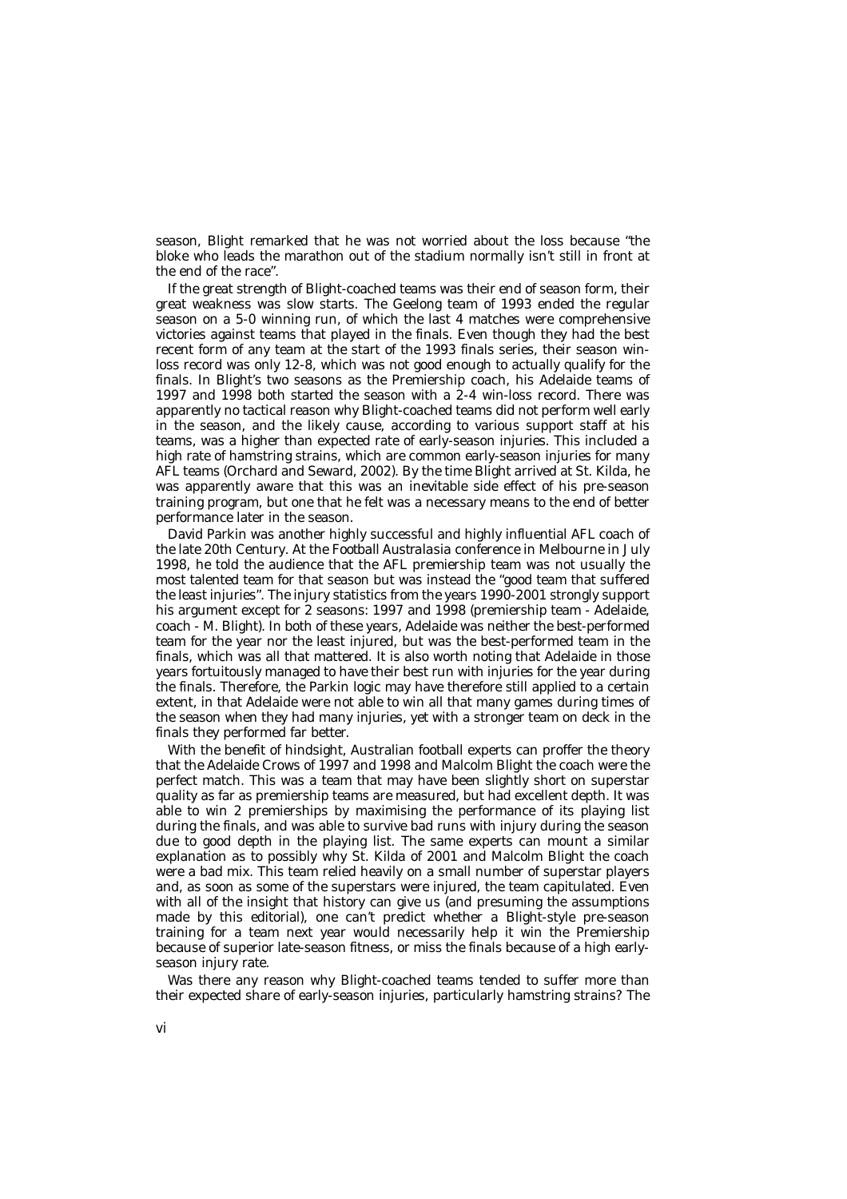season, Blight remarked that he was not worried about the loss because "the bloke who leads the marathon out of the stadium normally isn't still in front at the end of the race".

If the great strength of Blight-coached teams was their end of season form, their great weakness was slow starts. The Geelong team of 1993 ended the regular season on a 5-0 winning run, of which the last 4 matches were comprehensive victories against teams that played in the finals. Even though they had the best recent form of any team at the start of the 1993 finals series, their season winloss record was only 12-8, which was not good enough to actually qualify for the finals. In Blight's two seasons as the Premiership coach, his Adelaide teams of 1997 and 1998 both started the season with a 2-4 win-loss record. There was apparently no tactical reason why Blight-coached teams did not perform well early in the season, and the likely cause, according to various support staff at his teams, was a higher than expected rate of early-season injuries. This included a high rate of hamstring strains, which are common early-season injuries for many AFL teams (Orchard and Seward, 2002). By the time Blight arrived at St. Kilda, he was apparently aware that this was an inevitable side effect of his pre-season training program, but one that he felt was a necessary means to the end of better performance later in the season.

David Parkin was another highly successful and highly influential AFL coach of the late 20th Century. At the *Football Australasia* conference in Melbourne in July 1998, he told the audience that the AFL premiership team was not usually the most talented team for that season but was instead the "good team that suffered the least injuries". The injury statistics from the years 1990-2001 strongly support his argument except for 2 seasons: 1997 and 1998 (premiership team - Adelaide, coach - M. Blight). In both of these years, Adelaide was neither the best-performed team for the year nor the least injured, but was the best-performed team in the finals, which was all that mattered. It is also worth noting that Adelaide in those years fortuitously managed to have their best run with injuries for the year during the finals. Therefore, the Parkin logic may have therefore still applied to a certain extent, in that Adelaide were not able to win all that many games during times of the season when they had many injuries, yet with a stronger team on deck in the finals they performed far better.

With the benefit of hindsight, Australian football experts can proffer the theory that the Adelaide Crows of 1997 and 1998 and Malcolm Blight the coach were the perfect match. This was a team that may have been slightly short on superstar quality as far as premiership teams are measured, but had excellent depth. It was able to win 2 premierships by maximising the performance of its playing list during the finals, and was able to survive bad runs with injury during the season due to good depth in the playing list. The same experts can mount a similar explanation as to possibly why St. Kilda of 2001 and Malcolm Blight the coach were a bad mix. This team relied heavily on a small number of superstar players and, as soon as some of the superstars were injured, the team capitulated. Even with all of the insight that history can give us (and presuming the assumptions made by this editorial), one can't predict whether a Blight-style pre-season training for a team next year would necessarily help it win the Premiership because of superior late-season fitness, or miss the finals because of a high earlyseason injury rate.

Was there any reason why Blight-coached teams tended to suffer more than their expected share of early-season injuries, particularly hamstring strains? The